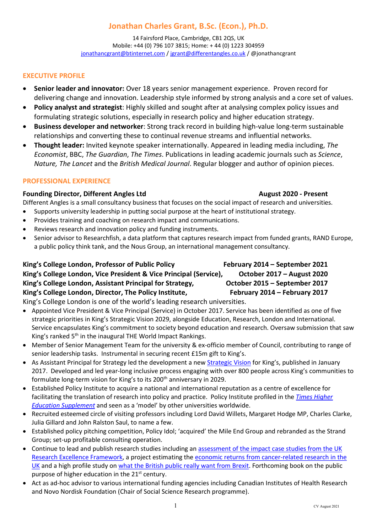# Jonathan Charles Grant, B.Sc. (Econ.), Ph.D.

14 Fairsford Place, Cambridge, CB1 2QS, UK Mobile: +44 (0) 796 107 3815; Home: + 44 (0) 1223 304959 jonathancgrant@btinternet.com / jgrant@differentangles.co.uk / @jonathancgrant

### EXECUTIVE PROFILE

- Senior leader and innovator: Over 18 years senior management experience. Proven record for delivering change and innovation. Leadership style informed by strong analysis and a core set of values.
- Policy analyst and strategist: Highly skilled and sought after at analysing complex policy issues and formulating strategic solutions, especially in research policy and higher education strategy.
- Business developer and networker: Strong track record in building high-value long-term sustainable relationships and converting these to continual revenue streams and influential networks.
- Thought leader: Invited keynote speaker internationally. Appeared in leading media including, The Economist, BBC, The Guardian, The Times. Publications in leading academic journals such as Science, Nature, The Lancet and the British Medical Journal. Regular blogger and author of opinion pieces.

### PROFESSIONAL EXPERIENCE

### Founding Director, Different Angles Ltd **August 2020 - Present** August 2020 - Present

Different Angles is a small consultancy business that focuses on the social impact of research and universities.

- Supports university leadership in putting social purpose at the heart of institutional strategy.
- Provides training and coaching on research impact and communications.
- Reviews research and innovation policy and funding instruments.
- Senior advisor to Researchfish, a data platform that captures research impact from funded grants, RAND Europe, a public policy think tank, and the Nous Group, an international management consultancy.

## King's College London, Professor of Public Policy February 2014 – September 2021 King's College London, Vice President & Vice Principal (Service), Cortober 2017 – August 2020 King's College London, Assistant Principal for Strategy, Corrober 2015 – September 2017 King's College London, Director, The Policy Institute, February 2014 – February 2017

King's College London is one of the world's leading research universities.

- Appointed Vice President & Vice Principal (Service) in October 2017. Service has been identified as one of five strategic priorities in King's Strategic Vision 2029, alongside Education, Research, London and International. Service encapsulates King's commitment to society beyond education and research. Oversaw submission that saw King's ranked 5th in the inaugural THE World Impact Rankings.
- Member of Senior Management Team for the university & ex-officio member of Council, contributing to range of senior leadership tasks. Instrumental in securing recent £15m gift to King's.
- As Assistant Principal for Strategy led the development a new Strategic Vision for King's, published in January 2017. Developed and led year-long inclusive process engaging with over 800 people across King's communities to formulate long-term vision for King's to its 200<sup>th</sup> anniversary in 2029.
- Established Policy Institute to acquire a national and international reputation as a centre of excellence for facilitating the translation of research into policy and practice. Policy Institute profiled in the Times Higher Education Supplement and seen as a 'model' by other universities worldwide.
- Recruited esteemed circle of visiting professors including Lord David Willets, Margaret Hodge MP, Charles Clarke, Julia Gillard and John Ralston Saul, to name a few.
- Established policy pitching competition, Policy Idol; 'acquired' the Mile End Group and rebranded as the Strand Group; set-up profitable consulting operation.
- Continue to lead and publish research studies including an assessment of the impact case studies from the UK Research Excellence Framework, a project estimating the economic returns from cancer-related research in the UK and a high profile study on what the British public really want from Brexit. Forthcoming book on the public purpose of higher education in the  $21<sup>st</sup>$  century.
- Act as ad-hoc advisor to various international funding agencies including Canadian Institutes of Health Research and Novo Nordisk Foundation (Chair of Social Science Research programme).